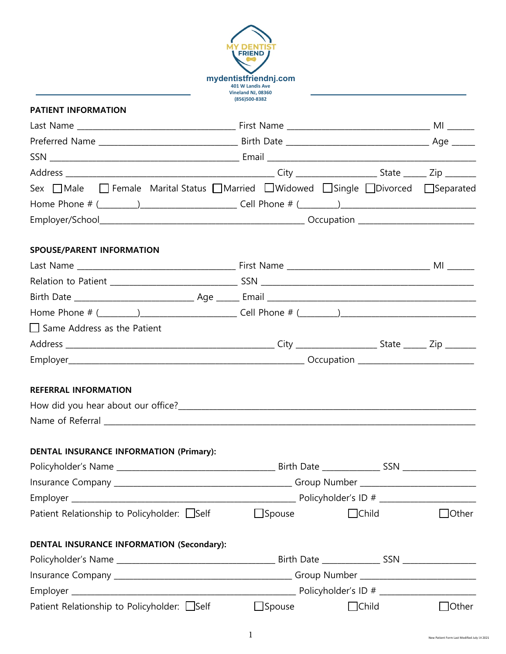| <b>DEN<sub>1</sub></b><br><b>FRIEND</b><br>mydentistfriendnj.com<br>401 W Landis Ave |
|--------------------------------------------------------------------------------------|
| Vineland NJ, 08360<br>(856)500-8382                                                  |
|                                                                                      |

## **PATIENT INFORMATION**

|  | $\Box$ Child | $\Box$ Other                                                                                            |  |
|--|--------------|---------------------------------------------------------------------------------------------------------|--|
|  |              |                                                                                                         |  |
|  |              |                                                                                                         |  |
|  |              |                                                                                                         |  |
|  |              |                                                                                                         |  |
|  |              |                                                                                                         |  |
|  |              | Sex □ Male □ Female Marital Status □ Married □ Widowed □ Single □ Divorced □ Separated<br>$\Box$ Spouse |  |